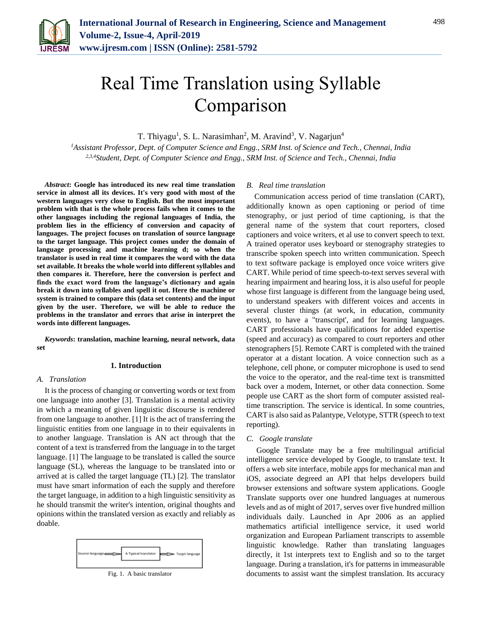

# Real Time Translation using Syllable Comparison

T. Thiyagu<sup>1</sup>, S. L. Narasimhan<sup>2</sup>, M. Aravind<sup>3</sup>, V. Nagarjun<sup>4</sup>

*<sup>1</sup>Assistant Professor, Dept. of Computer Science and Engg., SRM Inst. of Science and Tech., Chennai, India 2,3,4Student, Dept. of Computer Science and Engg., SRM Inst. of Science and Tech., Chennai, India*

*Abstract***: Google has introduced its new real time translation service in almost all its devices. It's very good with most of the western languages very close to English. But the most important problem with that is the whole process fails when it comes to the other languages including the regional languages of India, the problem lies in the efficiency of conversion and capacity of languages. The project focuses on translation of source language to the target language. This project comes under the domain of language processing and machine learning d; so when the translator is used in real time it compares the word with the data set available. It breaks the whole world into different syllables and then compares it. Therefore, here the conversion is perfect and finds the exact word from the language's dictionary and again break it down into syllables and spell it out. Here the machine or system is trained to compare this (data set contents) and the input given by the user. Therefore, we will be able to reduce the problems in the translator and errors that arise in interpret the words into different languages.**

*Keywords***: translation, machine learning, neural network, data set**

# **1. Introduction**

#### *A. Translation*

It is the process of changing or converting words or text from one language into another [3]. Translation is a mental activity in which a meaning of given linguistic discourse is rendered from one language to another. [1] It is the act of transferring the linguistic entities from one language in to their equivalents in to another language. Translation is AN act through that the content of a text is transferred from the language in to the target language. [1] The language to be translated is called the source language (SL), whereas the language to be translated into or arrived at is called the target language (TL) [2]. The translator must have smart information of each the supply and therefore the target language, in addition to a high linguistic sensitivity as he should transmit the writer's intention, original thoughts and opinions within the translated version as exactly and reliably as doable.



## *B. Real time translation*

Communication access period of time translation (CART), additionally known as open captioning or period of time stenography, or just period of time captioning, is that the general name of the system that court reporters, closed captioners and voice writers, et al use to convert speech to text. A trained operator uses keyboard or stenography strategies to transcribe spoken speech into written communication. Speech to text software package is employed once voice writers give CART. While period of time speech-to-text serves several with hearing impairment and hearing loss, it is also useful for people whose first language is different from the language being used, to understand speakers with different voices and accents in several cluster things (at work, in education, community events), to have a "transcript', and for learning languages. CART professionals have qualifications for added expertise (speed and accuracy) as compared to court reporters and other stenographers [5]. Remote CART is completed with the trained operator at a distant location. A voice connection such as a telephone, cell phone, or computer microphone is used to send the voice to the operator, and the real-time text is transmitted back over a modem, Internet, or other data connection. Some people use CART as the short form of computer assisted realtime transcription. The service is identical. In some countries, CART is also said as Palantype, Velotype, STTR (speech to text reporting).

## *C. Google translate*

Google Translate may be a free multilingual artificial intelligence service developed by Google, to translate text. It offers a web site interface, mobile apps for mechanical man and iOS, associate degreed an API that helps developers build browser extensions and software system applications. Google Translate supports over one hundred languages at numerous levels and as of might of 2017, serves over five hundred million individuals daily. Launched in Apr 2006 as an applied mathematics artificial intelligence service, it used world organization and European Parliament transcripts to assemble linguistic knowledge. Rather than translating languages directly, it 1st interprets text to English and so to the target language. During a translation, it's for patterns in immeasurable documents to assist want the simplest translation. Its accuracy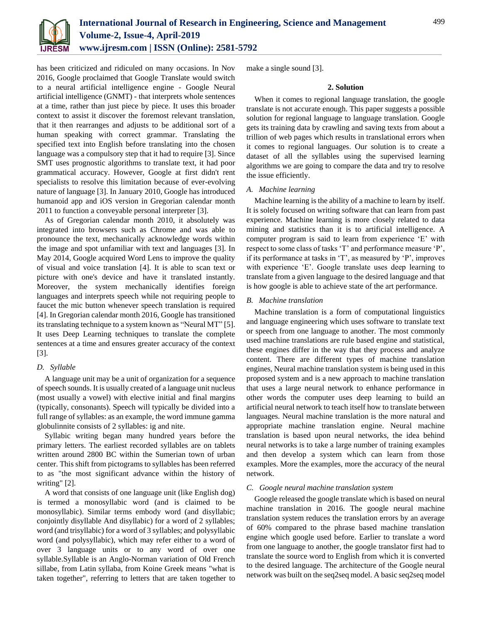

has been criticized and ridiculed on many occasions. In Nov 2016, Google proclaimed that Google Translate would switch to a neural artificial intelligence engine - Google Neural artificial intelligence (GNMT) - that interprets whole sentences at a time, rather than just piece by piece. It uses this broader context to assist it discover the foremost relevant translation, that it then rearranges and adjusts to be additional sort of a human speaking with correct grammar. Translating the specified text into English before translating into the chosen language was a compulsory step that it had to require [3]. Since SMT uses prognostic algorithms to translate text, it had poor grammatical accuracy. However, Google at first didn't rent specialists to resolve this limitation because of ever-evolving nature of language [3]. In January 2010, Google has introduced humanoid app and iOS version in Gregorian calendar month 2011 to function a conveyable personal interpreter [3].

As of Gregorian calendar month 2010, it absolutely was integrated into browsers such as Chrome and was able to pronounce the text, mechanically acknowledge words within the image and spot unfamiliar with text and languages [3]. In May 2014, Google acquired Word Lens to improve the quality of visual and voice translation [4]. It is able to scan text or picture with one's device and have it translated instantly. Moreover, the system mechanically identifies foreign languages and interprets speech while not requiring people to faucet the mic button whenever speech translation is required [4]. In Gregorian calendar month 2016, Google has transitioned its translating technique to a system known as "Neural MT" [5]. It uses Deep Learning techniques to translate the complete sentences at a time and ensures greater accuracy of the context [3].

# *D. Syllable*

A language unit may be a unit of organization for a sequence of speech sounds. It is usually created of a language unit nucleus (most usually a vowel) with elective initial and final margins (typically, consonants). Speech will typically be divided into a full range of syllables: as an example, the word immune gamma globulinnite consists of 2 syllables: ig and nite.

Syllabic writing began many hundred years before the primary letters. The earliest recorded syllables are on tablets written around 2800 BC within the Sumerian town of urban center. This shift from pictograms to syllables has been referred to as "the most significant advance within the history of writing" [2].

A word that consists of one language unit (like English dog) is termed a monosyllabic word (and is claimed to be monosyllabic). Similar terms embody word (and disyllabic; conjointly disyllable And disyllabic) for a word of 2 syllables; word (and trisyllabic) for a word of 3 syllables; and polysyllabic word (and polysyllabic), which may refer either to a word of over 3 language units or to any word of over one syllable.Syllable is an Anglo-Norman variation of Old French sillabe, from Latin syllaba, from Koine Greek means "what is taken together", referring to letters that are taken together to

make a single sound [3].

# **2. Solution**

When it comes to regional language translation, the google translate is not accurate enough. This paper suggests a possible solution for regional language to language translation. Google gets its training data by crawling and saving texts from about a trillion of web pages which results in translational errors when it comes to regional languages. Our solution is to create a dataset of all the syllables using the supervised learning algorithms we are going to compare the data and try to resolve the issue efficiently.

# *A. Machine learning*

Machine learning is the ability of a machine to learn by itself. It is solely focused on writing software that can learn from past experience. Machine learning is more closely related to data mining and statistics than it is to artificial intelligence. A computer program is said to learn from experience 'E' with respect to some class of tasks 'T' and performance measure 'P', if its performance at tasks in 'T', as measured by 'P', improves with experience 'E'. Google translate uses deep learning to translate from a given language to the desired language and that is how google is able to achieve state of the art performance.

# *B. Machine translation*

Machine translation is a form of computational linguistics and language engineering which uses software to translate text or speech from one language to another. The most commonly used machine translations are rule based engine and statistical, these engines differ in the way that they process and analyze content. There are different types of machine translation engines, Neural machine translation system is being used in this proposed system and is a new approach to machine translation that uses a large neural network to enhance performance in other words the computer uses deep learning to build an artificial neural network to teach itself how to translate between languages. Neural machine translation is the more natural and appropriate machine translation engine. Neural machine translation is based upon neural networks, the idea behind neural networks is to take a large number of training examples and then develop a system which can learn from those examples. More the examples, more the accuracy of the neural network.

# *C. Google neural machine translation system*

Google released the google translate which is based on neural machine translation in 2016. The google neural machine translation system reduces the translation errors by an average of 60% compared to the phrase based machine translation engine which google used before. Earlier to translate a word from one language to another, the google translator first had to translate the source word to English from which it is converted to the desired language. The architecture of the Google neural network was built on the seq2seq model. A basic seq2seq model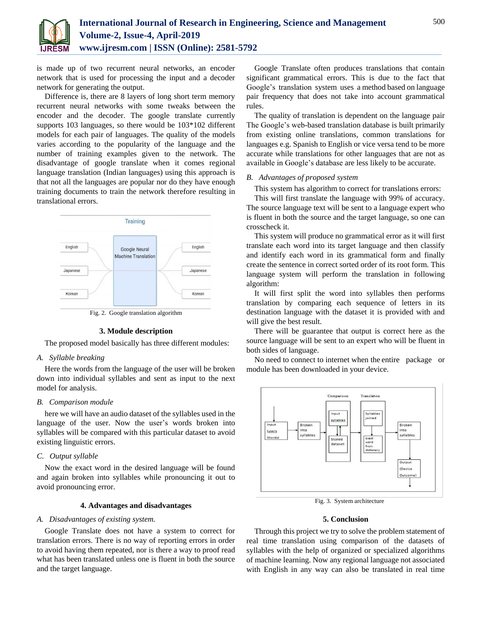

is made up of two recurrent neural networks, an encoder network that is used for processing the input and a decoder network for generating the output.

Difference is, there are 8 layers of long short term memory recurrent neural networks with some tweaks between the encoder and the decoder. The google translate currently supports 103 languages, so there would be 103\*102 different models for each pair of languages. The quality of the models varies according to the popularity of the language and the number of training examples given to the network. The disadvantage of google translate when it comes regional language translation (Indian languages) using this approach is that not all the languages are popular nor do they have enough training documents to train the network therefore resulting in translational errors.



Fig. 2. Google translation algorithm

#### **3. Module description**

The proposed model basically has three different modules:

# *A. Syllable breaking*

Here the words from the language of the user will be broken down into individual syllables and sent as input to the next model for analysis.

# *B. Comparison module*

here we will have an audio dataset of the syllables used in the language of the user. Now the user's words broken into syllables will be compared with this particular dataset to avoid existing linguistic errors.

# *C. Output syllable*

Now the exact word in the desired language will be found and again broken into syllables while pronouncing it out to avoid pronouncing error.

# **4. Advantages and disadvantages**

# *A. Disadvantages of existing system.*

Google Translate does not have a system to correct for translation errors. There is no way of reporting errors in order to avoid having them repeated, nor is there a way to proof read what has been translated unless one is fluent in both the source and the target language.

Google Translate often produces translations that contain significant grammatical errors. This is due to the fact that Google's translation system uses a method based on language pair frequency that does not take into account grammatical rules.

The quality of translation is dependent on the language pair The Google's web-based translation database is built primarily from existing online translations, common translations for languages e.g. Spanish to English or vice versa tend to be more accurate while translations for other languages that are not as available in Google's database are less likely to be accurate.

## *B. Advantages of proposed system*

This system has algorithm to correct for translations errors:

This will first translate the language with 99% of accuracy. The source language text will be sent to a language expert who is fluent in both the source and the target language, so one can crosscheck it.

This system will produce no grammatical error as it will first translate each word into its target language and then classify and identify each word in its grammatical form and finally create the sentence in correct sorted order of its root form. This language system will perform the translation in following algorithm:

It will first split the word into syllables then performs translation by comparing each sequence of letters in its destination language with the dataset it is provided with and will give the best result.

There will be guarantee that output is correct here as the source language will be sent to an expert who will be fluent in both sides of language.

No need to connect to internet when the entire package or module has been downloaded in your device.



Fig. 3. System architecture

# **5. Conclusion**

Through this project we try to solve the problem statement of real time translation using comparison of the datasets of syllables with the help of organized or specialized algorithms of machine learning. Now any regional language not associated with English in any way can also be translated in real time